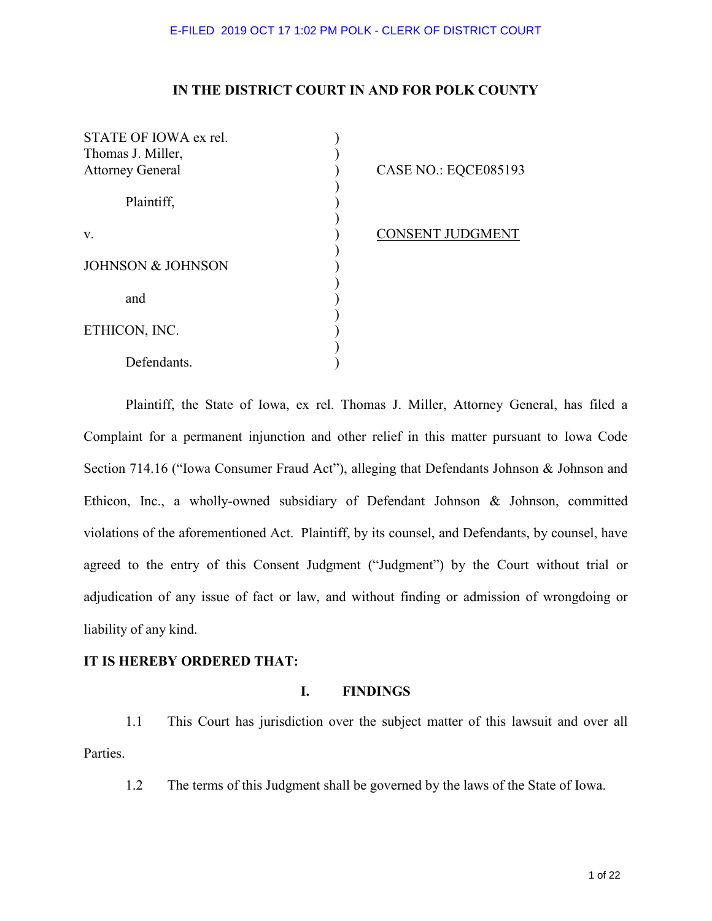# **IN THE DISTRICT COURT IN AND FOR POLK COUNTY**

| STATE OF IOWA ex rel.   |                         |
|-------------------------|-------------------------|
| Thomas J. Miller,       |                         |
| <b>Attorney General</b> | CASE NO.: EQCE085193    |
|                         |                         |
| Plaintiff,              |                         |
|                         |                         |
|                         |                         |
| V.                      | <b>CONSENT JUDGMENT</b> |
|                         |                         |
| JOHNSON & JOHNSON       |                         |
|                         |                         |
| and                     |                         |
|                         |                         |
|                         |                         |
| ETHICON, INC.           |                         |
|                         |                         |
| Defendants.             |                         |

Plaintiff, the State of Iowa, ex rel. Thomas J. Miller, Attorney General, has filed a Complaint for a permanent injunction and other relief in this matter pursuant to Iowa Code Section 714.16 ("Iowa Consumer Fraud Act"), alleging that Defendants Johnson & Johnson and Ethicon, Inc., a wholly-owned subsidiary of Defendant Johnson & Johnson, committed violations of the aforementioned Act. Plaintiff, by its counsel, and Defendants, by counsel, have agreed to the entry of this Consent Judgment ("Judgment") by the Court without trial or adjudication of any issue of fact or law, and without finding or admission of wrongdoing or liability of any kind.

# **IT IS HEREBY ORDERED THAT:**

# **I. FINDINGS**

1.1 This Court has jurisdiction over the subject matter of this lawsuit and over all Parties.

1.2 The terms of this Judgment shall be governed by the laws of the State of Iowa.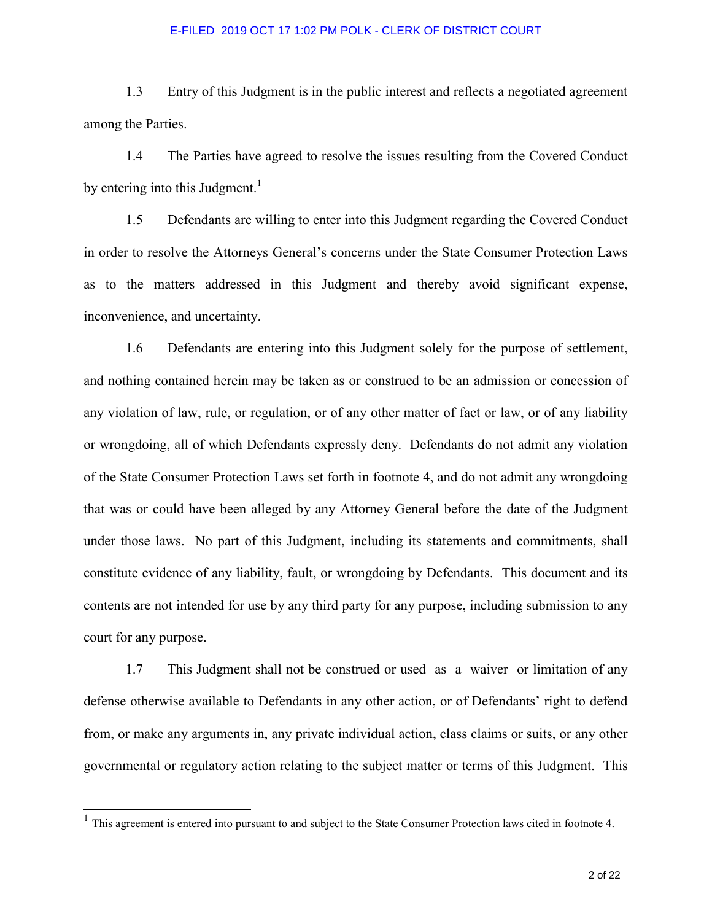1.3 Entry of this Judgment is in the public interest and reflects a negotiated agreement among the Parties.

1.4 The Parties have agreed to resolve the issues resulting from the Covered Conduct by entering into this Judgment.<sup>1</sup>

1.5 Defendants are willing to enter into this Judgment regarding the Covered Conduct in order to resolve the Attorneys General's concerns under the State Consumer Protection Laws as to the matters addressed in this Judgment and thereby avoid significant expense, inconvenience, and uncertainty.

1.6 Defendants are entering into this Judgment solely for the purpose of settlement, and nothing contained herein may be taken as or construed to be an admission or concession of any violation of law, rule, or regulation, or of any other matter of fact or law, or of any liability or wrongdoing, all of which Defendants expressly deny. Defendants do not admit any violation of the State Consumer Protection Laws set forth in footnote 4, and do not admit any wrongdoing that was or could have been alleged by any Attorney General before the date of the Judgment under those laws. No part of this Judgment, including its statements and commitments, shall constitute evidence of any liability, fault, or wrongdoing by Defendants. This document and its contents are not intended for use by any third party for any purpose, including submission to any court for any purpose.

1.7 This Judgment shall not be construed or used as a waiver or limitation of any defense otherwise available to Defendants in any other action, or of Defendants' right to defend from, or make any arguments in, any private individual action, class claims or suits, or any other governmental or regulatory action relating to the subject matter or terms of this Judgment. This

l

<sup>&</sup>lt;sup>1</sup> This agreement is entered into pursuant to and subject to the State Consumer Protection laws cited in footnote 4.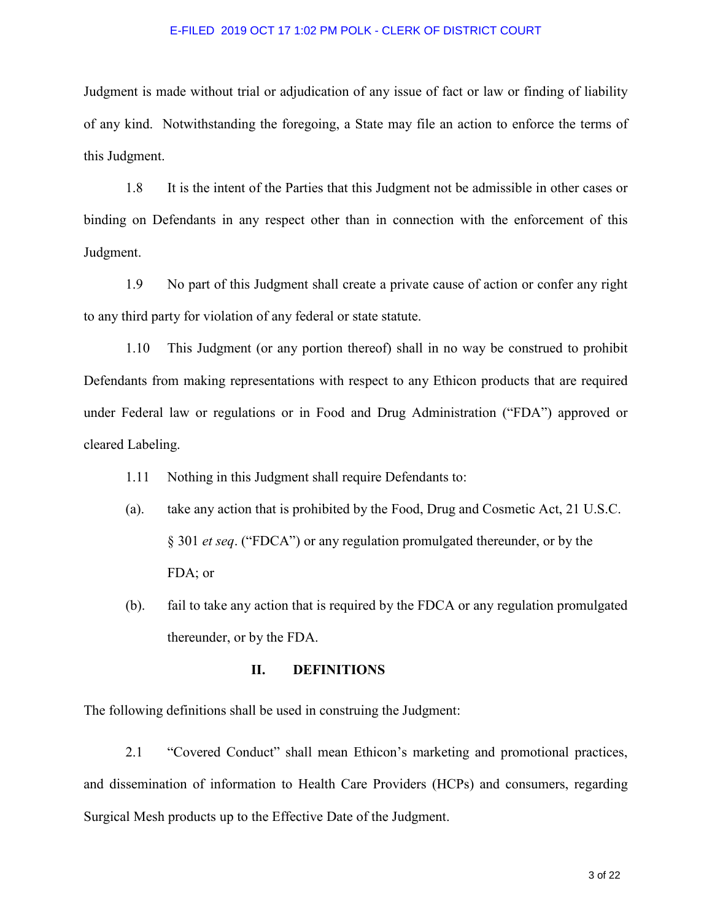Judgment is made without trial or adjudication of any issue of fact or law or finding of liability of any kind. Notwithstanding the foregoing, a State may file an action to enforce the terms of this Judgment.

1.8 It is the intent of the Parties that this Judgment not be admissible in other cases or binding on Defendants in any respect other than in connection with the enforcement of this Judgment.

1.9 No part of this Judgment shall create a private cause of action or confer any right to any third party for violation of any federal or state statute.

1.10 This Judgment (or any portion thereof) shall in no way be construed to prohibit Defendants from making representations with respect to any Ethicon products that are required under Federal law or regulations or in Food and Drug Administration ("FDA") approved or cleared Labeling.

- 1.11 Nothing in this Judgment shall require Defendants to:
- (a). take any action that is prohibited by the Food, Drug and Cosmetic Act, 21 U.S.C. § 301 *et seq*. ("FDCA") or any regulation promulgated thereunder, or by the FDA; or
- (b). fail to take any action that is required by the FDCA or any regulation promulgated thereunder, or by the FDA.

### **II. DEFINITIONS**

The following definitions shall be used in construing the Judgment:

2.1 "Covered Conduct" shall mean Ethicon's marketing and promotional practices, and dissemination of information to Health Care Providers (HCPs) and consumers, regarding Surgical Mesh products up to the Effective Date of the Judgment.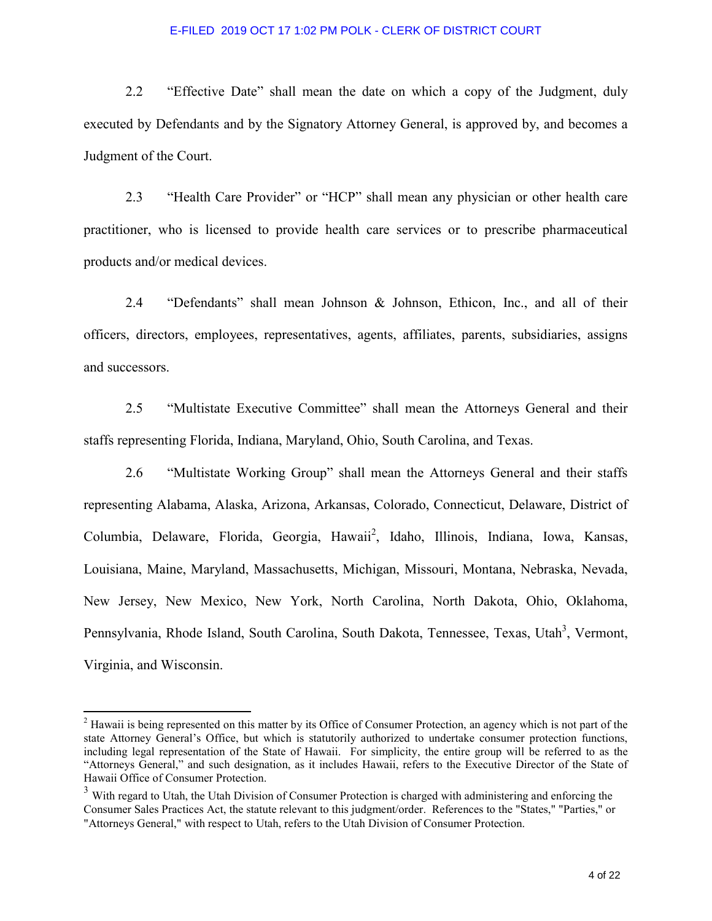2.2 "Effective Date" shall mean the date on which a copy of the Judgment, duly executed by Defendants and by the Signatory Attorney General, is approved by, and becomes a Judgment of the Court.

2.3 "Health Care Provider" or "HCP" shall mean any physician or other health care practitioner, who is licensed to provide health care services or to prescribe pharmaceutical products and/or medical devices.

2.4 "Defendants" shall mean Johnson & Johnson, Ethicon, Inc., and all of their officers, directors, employees, representatives, agents, affiliates, parents, subsidiaries, assigns and successors.

2.5 "Multistate Executive Committee" shall mean the Attorneys General and their staffs representing Florida, Indiana, Maryland, Ohio, South Carolina, and Texas.

 2.6 "Multistate Working Group" shall mean the Attorneys General and their staffs representing Alabama, Alaska, Arizona, Arkansas, Colorado, Connecticut, Delaware, District of Columbia, Delaware, Florida, Georgia, Hawaii<sup>2</sup>, Idaho, Illinois, Indiana, Iowa, Kansas, Louisiana, Maine, Maryland, Massachusetts, Michigan, Missouri, Montana, Nebraska, Nevada, New Jersey, New Mexico, New York, North Carolina, North Dakota, Ohio, Oklahoma, Pennsylvania, Rhode Island, South Carolina, South Dakota, Tennessee, Texas, Utah<sup>3</sup>, Vermont, Virginia, and Wisconsin.

 $\overline{a}$ 

 $2<sup>2</sup>$  Hawaii is being represented on this matter by its Office of Consumer Protection, an agency which is not part of the state Attorney General's Office, but which is statutorily authorized to undertake consumer protection functions, including legal representation of the State of Hawaii. For simplicity, the entire group will be referred to as the "Attorneys General," and such designation, as it includes Hawaii, refers to the Executive Director of the State of Hawaii Office of Consumer Protection.

<sup>&</sup>lt;sup>3</sup> With regard to Utah, the Utah Division of Consumer Protection is charged with administering and enforcing the Consumer Sales Practices Act, the statute relevant to this judgment/order. References to the "States," "Parties," or "Attorneys General," with respect to Utah, refers to the Utah Division of Consumer Protection.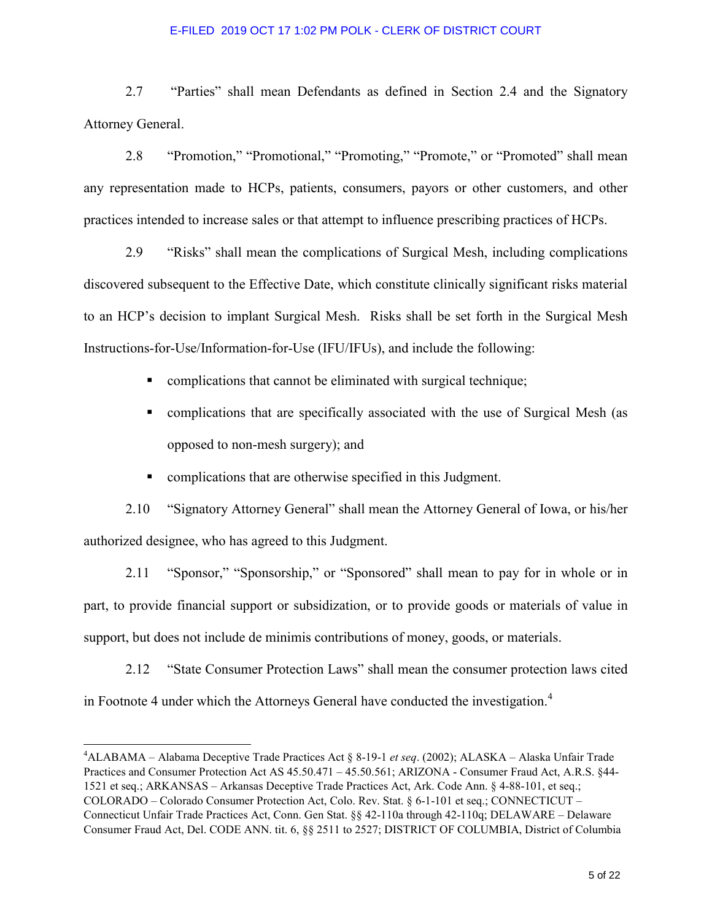2.7 "Parties" shall mean Defendants as defined in Section 2.4 and the Signatory Attorney General.

2.8 "Promotion," "Promotional," "Promoting," "Promote," or "Promoted" shall mean any representation made to HCPs, patients, consumers, payors or other customers, and other practices intended to increase sales or that attempt to influence prescribing practices of HCPs.

2.9 "Risks" shall mean the complications of Surgical Mesh, including complications discovered subsequent to the Effective Date, which constitute clinically significant risks material to an HCP's decision to implant Surgical Mesh. Risks shall be set forth in the Surgical Mesh Instructions-for-Use/Information-for-Use (IFU/IFUs), and include the following:

- **EXECUTE:** complications that cannot be eliminated with surgical technique;
- complications that are specifically associated with the use of Surgical Mesh (as opposed to non-mesh surgery); and
- complications that are otherwise specified in this Judgment.

2.10 "Signatory Attorney General" shall mean the Attorney General of Iowa, or his/her authorized designee, who has agreed to this Judgment.

2.11 "Sponsor," "Sponsorship," or "Sponsored" shall mean to pay for in whole or in part, to provide financial support or subsidization, or to provide goods or materials of value in support, but does not include de minimis contributions of money, goods, or materials.

2.12 "State Consumer Protection Laws" shall mean the consumer protection laws cited in Footnote 4 under which the Attorneys General have conducted the investigation.<sup>4</sup>

 $\overline{a}$ 

<sup>4</sup>ALABAMA – Alabama Deceptive Trade Practices Act § 8-19-1 *et seq*. (2002); ALASKA – Alaska Unfair Trade Practices and Consumer Protection Act AS 45.50.471 – 45.50.561; ARIZONA - Consumer Fraud Act, A.R.S. §44- 1521 et seq.; ARKANSAS – Arkansas Deceptive Trade Practices Act, Ark. Code Ann. § 4-88-101, et seq.; COLORADO – Colorado Consumer Protection Act, Colo. Rev. Stat. § 6-1-101 et seq.; CONNECTICUT – Connecticut Unfair Trade Practices Act, Conn. Gen Stat. §§ 42-110a through 42-110q; DELAWARE – Delaware Consumer Fraud Act, Del. CODE ANN. tit. 6, §§ 2511 to 2527; DISTRICT OF COLUMBIA, District of Columbia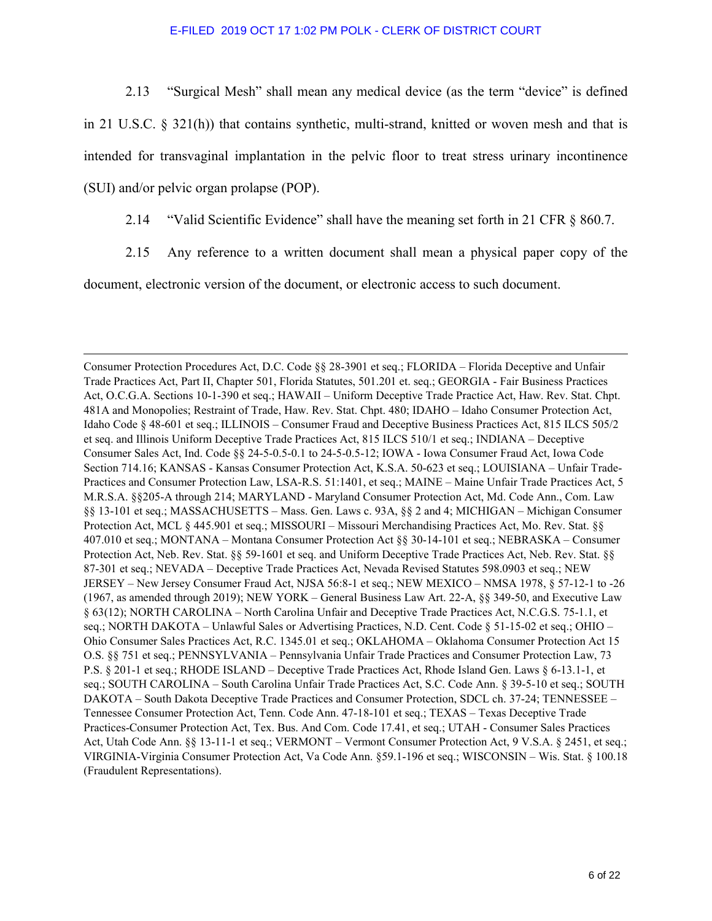2.13 "Surgical Mesh" shall mean any medical device (as the term "device" is defined in 21 U.S.C.  $\S$  321(h)) that contains synthetic, multi-strand, knitted or woven mesh and that is intended for transvaginal implantation in the pelvic floor to treat stress urinary incontinence (SUI) and/or pelvic organ prolapse (POP).

2.14 "Valid Scientific Evidence" shall have the meaning set forth in 21 CFR § 860.7.

2.15 Any reference to a written document shall mean a physical paper copy of the

document, electronic version of the document, or electronic access to such document.

l

Consumer Protection Procedures Act, D.C. Code §§ 28-3901 et seq.; FLORIDA – Florida Deceptive and Unfair Trade Practices Act, Part II, Chapter 501, Florida Statutes, 501.201 et. seq.; GEORGIA - Fair Business Practices Act, O.C.G.A. Sections 10-1-390 et seq.; HAWAII – Uniform Deceptive Trade Practice Act, Haw. Rev. Stat. Chpt. 481A and Monopolies; Restraint of Trade, Haw. Rev. Stat. Chpt. 480; IDAHO – Idaho Consumer Protection Act, Idaho Code § 48-601 et seq.; ILLINOIS – Consumer Fraud and Deceptive Business Practices Act, 815 ILCS 505/2 et seq. and Illinois Uniform Deceptive Trade Practices Act, 815 ILCS 510/1 et seq.; INDIANA – Deceptive Consumer Sales Act, Ind. Code §§ 24-5-0.5-0.1 to 24-5-0.5-12; IOWA - Iowa Consumer Fraud Act, Iowa Code Section 714.16; KANSAS - Kansas Consumer Protection Act, K.S.A. 50-623 et seq.; LOUISIANA – Unfair Trade-Practices and Consumer Protection Law, LSA-R.S. 51:1401, et seq.; MAINE – Maine Unfair Trade Practices Act, 5 M.R.S.A. §§205-A through 214; MARYLAND - Maryland Consumer Protection Act, Md. Code Ann., Com. Law §§ 13-101 et seq.; MASSACHUSETTS – Mass. Gen. Laws c. 93A, §§ 2 and 4; MICHIGAN – Michigan Consumer Protection Act, MCL § 445.901 et seq.; MISSOURI – Missouri Merchandising Practices Act, Mo. Rev. Stat. §§ 407.010 et seq.; MONTANA – Montana Consumer Protection Act §§ 30-14-101 et seq.; NEBRASKA – Consumer Protection Act, Neb. Rev. Stat. §§ 59-1601 et seq. and Uniform Deceptive Trade Practices Act, Neb. Rev. Stat. §§ 87-301 et seq.; NEVADA – Deceptive Trade Practices Act, Nevada Revised Statutes 598.0903 et seq.; NEW JERSEY – New Jersey Consumer Fraud Act, NJSA 56:8-1 et seq.; NEW MEXICO – NMSA 1978, § 57-12-1 to -26 (1967, as amended through 2019); NEW YORK – General Business Law Art. 22-A, §§ 349-50, and Executive Law § 63(12); NORTH CAROLINA – North Carolina Unfair and Deceptive Trade Practices Act, N.C.G.S. 75-1.1, et seq.; NORTH DAKOTA – Unlawful Sales or Advertising Practices, N.D. Cent. Code § 51-15-02 et seq.; OHIO – Ohio Consumer Sales Practices Act, R.C. 1345.01 et seq.; OKLAHOMA – Oklahoma Consumer Protection Act 15 O.S. §§ 751 et seq.; PENNSYLVANIA – Pennsylvania Unfair Trade Practices and Consumer Protection Law, 73 P.S. § 201-1 et seq.; RHODE ISLAND – Deceptive Trade Practices Act, Rhode Island Gen. Laws § 6-13.1-1, et seq.; SOUTH CAROLINA – South Carolina Unfair Trade Practices Act, S.C. Code Ann. § 39-5-10 et seq.; SOUTH DAKOTA – South Dakota Deceptive Trade Practices and Consumer Protection, SDCL ch. 37-24; TENNESSEE – Tennessee Consumer Protection Act, Tenn. Code Ann. 47-18-101 et seq.; TEXAS – Texas Deceptive Trade Practices-Consumer Protection Act, Tex. Bus. And Com. Code 17.41, et seq.; UTAH - Consumer Sales Practices Act, Utah Code Ann. §§ 13-11-1 et seq.; VERMONT – Vermont Consumer Protection Act, 9 V.S.A. § 2451, et seq.; VIRGINIA-Virginia Consumer Protection Act, Va Code Ann. §59.1-196 et seq.; WISCONSIN – Wis. Stat. § 100.18 (Fraudulent Representations).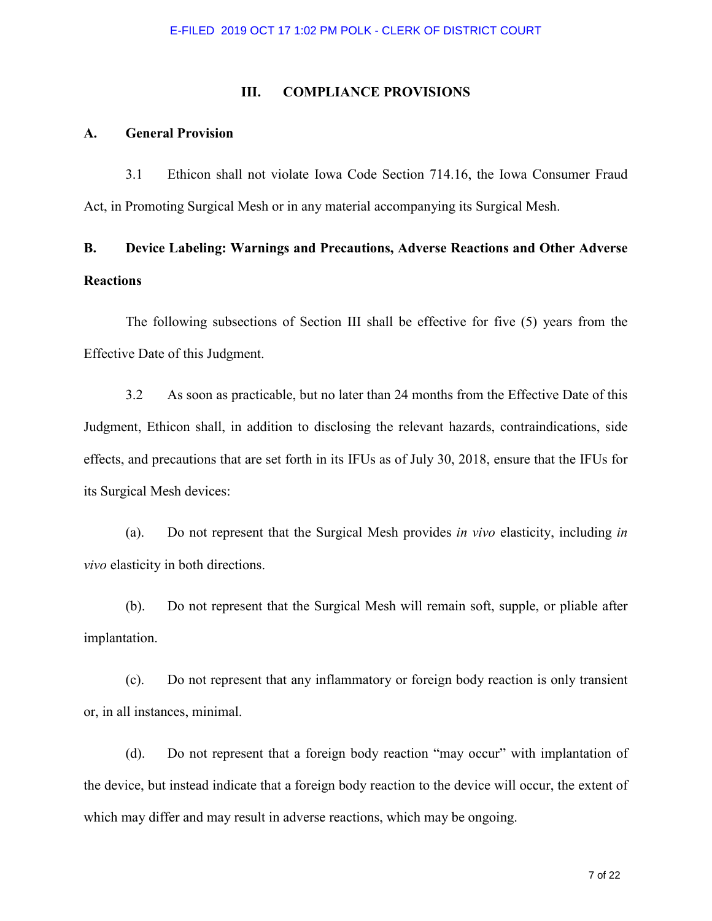### **III. COMPLIANCE PROVISIONS**

### **A. General Provision**

 3.1 Ethicon shall not violate Iowa Code Section 714.16, the Iowa Consumer Fraud Act, in Promoting Surgical Mesh or in any material accompanying its Surgical Mesh.

# **B. Device Labeling: Warnings and Precautions, Adverse Reactions and Other Adverse Reactions**

 The following subsections of Section III shall be effective for five (5) years from the Effective Date of this Judgment.

3.2 As soon as practicable, but no later than 24 months from the Effective Date of this Judgment, Ethicon shall, in addition to disclosing the relevant hazards, contraindications, side effects, and precautions that are set forth in its IFUs as of July 30, 2018, ensure that the IFUs for its Surgical Mesh devices:

(a). Do not represent that the Surgical Mesh provides *in vivo* elasticity, including *in vivo* elasticity in both directions.

(b). Do not represent that the Surgical Mesh will remain soft, supple, or pliable after implantation.

(c). Do not represent that any inflammatory or foreign body reaction is only transient or, in all instances, minimal.

(d). Do not represent that a foreign body reaction "may occur" with implantation of the device, but instead indicate that a foreign body reaction to the device will occur, the extent of which may differ and may result in adverse reactions, which may be ongoing.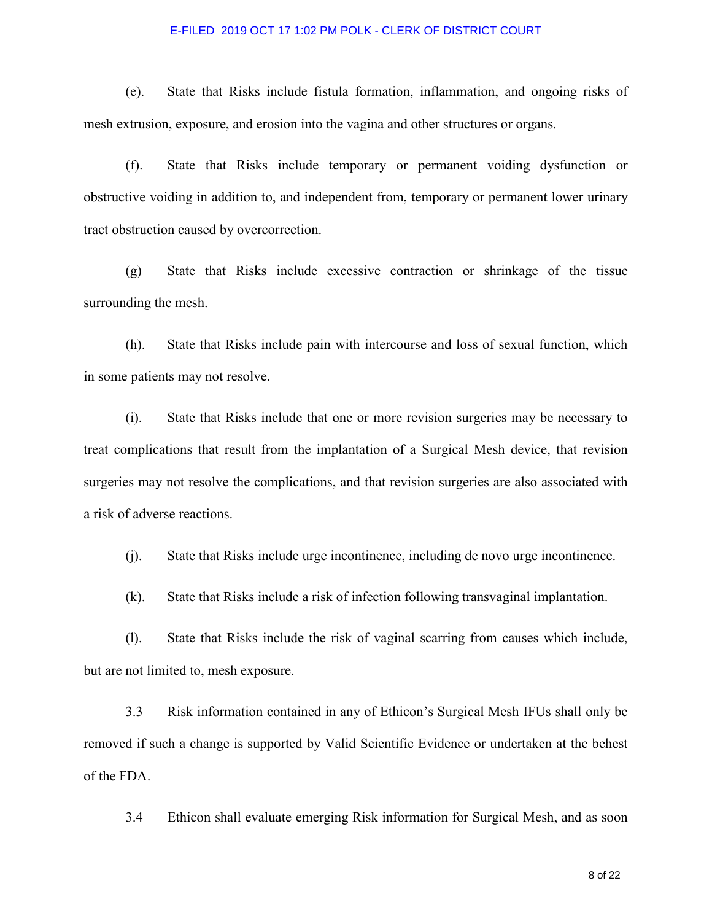(e). State that Risks include fistula formation, inflammation, and ongoing risks of mesh extrusion, exposure, and erosion into the vagina and other structures or organs.

(f). State that Risks include temporary or permanent voiding dysfunction or obstructive voiding in addition to, and independent from, temporary or permanent lower urinary tract obstruction caused by overcorrection.

(g) State that Risks include excessive contraction or shrinkage of the tissue surrounding the mesh.

(h). State that Risks include pain with intercourse and loss of sexual function, which in some patients may not resolve.

(i). State that Risks include that one or more revision surgeries may be necessary to treat complications that result from the implantation of a Surgical Mesh device, that revision surgeries may not resolve the complications, and that revision surgeries are also associated with a risk of adverse reactions.

(j). State that Risks include urge incontinence, including de novo urge incontinence.

(k). State that Risks include a risk of infection following transvaginal implantation.

(l). State that Risks include the risk of vaginal scarring from causes which include, but are not limited to, mesh exposure.

3.3 Risk information contained in any of Ethicon's Surgical Mesh IFUs shall only be removed if such a change is supported by Valid Scientific Evidence or undertaken at the behest of the FDA.

3.4 Ethicon shall evaluate emerging Risk information for Surgical Mesh, and as soon

8 of 22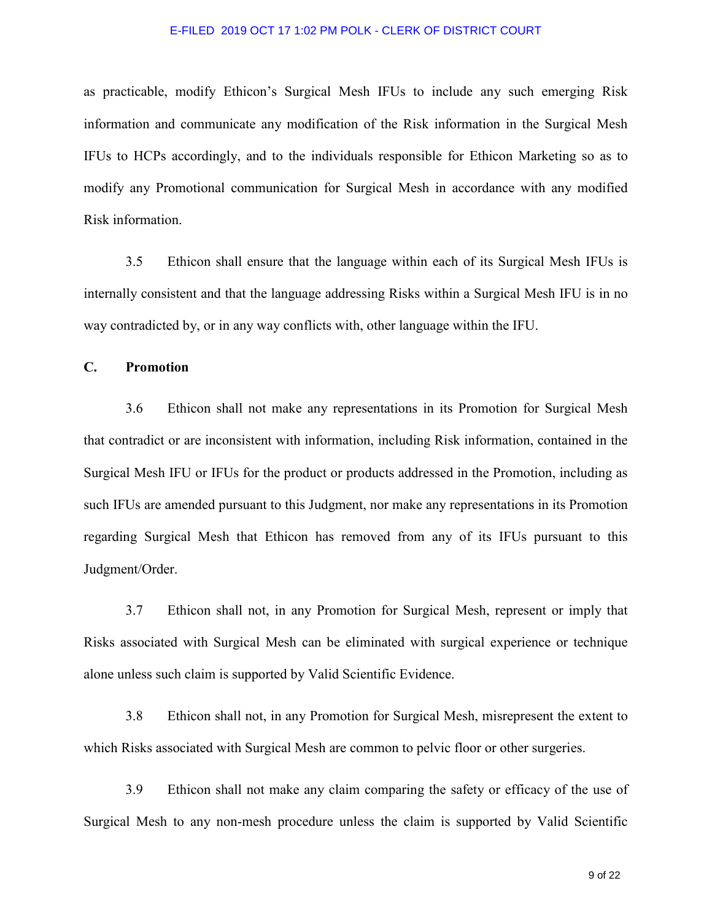as practicable, modify Ethicon's Surgical Mesh IFUs to include any such emerging Risk information and communicate any modification of the Risk information in the Surgical Mesh IFUs to HCPs accordingly, and to the individuals responsible for Ethicon Marketing so as to modify any Promotional communication for Surgical Mesh in accordance with any modified Risk information.

3.5 Ethicon shall ensure that the language within each of its Surgical Mesh IFUs is internally consistent and that the language addressing Risks within a Surgical Mesh IFU is in no way contradicted by, or in any way conflicts with, other language within the IFU.

**C. Promotion** 

3.6 Ethicon shall not make any representations in its Promotion for Surgical Mesh that contradict or are inconsistent with information, including Risk information, contained in the Surgical Mesh IFU or IFUs for the product or products addressed in the Promotion, including as such IFUs are amended pursuant to this Judgment, nor make any representations in its Promotion regarding Surgical Mesh that Ethicon has removed from any of its IFUs pursuant to this Judgment/Order.

3.7 Ethicon shall not, in any Promotion for Surgical Mesh, represent or imply that Risks associated with Surgical Mesh can be eliminated with surgical experience or technique alone unless such claim is supported by Valid Scientific Evidence.

3.8 Ethicon shall not, in any Promotion for Surgical Mesh, misrepresent the extent to which Risks associated with Surgical Mesh are common to pelvic floor or other surgeries.

3.9 Ethicon shall not make any claim comparing the safety or efficacy of the use of Surgical Mesh to any non-mesh procedure unless the claim is supported by Valid Scientific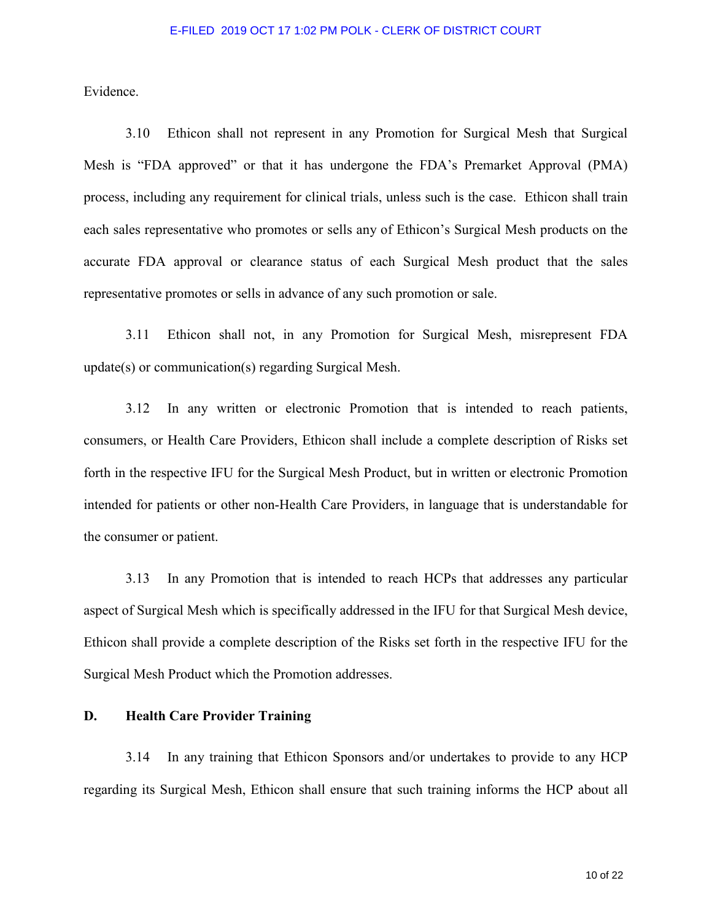Evidence.

3.10 Ethicon shall not represent in any Promotion for Surgical Mesh that Surgical Mesh is "FDA approved" or that it has undergone the FDA's Premarket Approval (PMA) process, including any requirement for clinical trials, unless such is the case. Ethicon shall train each sales representative who promotes or sells any of Ethicon's Surgical Mesh products on the accurate FDA approval or clearance status of each Surgical Mesh product that the sales representative promotes or sells in advance of any such promotion or sale.

3.11 Ethicon shall not, in any Promotion for Surgical Mesh, misrepresent FDA update(s) or communication(s) regarding Surgical Mesh.

3.12 In any written or electronic Promotion that is intended to reach patients, consumers, or Health Care Providers, Ethicon shall include a complete description of Risks set forth in the respective IFU for the Surgical Mesh Product, but in written or electronic Promotion intended for patients or other non-Health Care Providers, in language that is understandable for the consumer or patient.

3.13 In any Promotion that is intended to reach HCPs that addresses any particular aspect of Surgical Mesh which is specifically addressed in the IFU for that Surgical Mesh device, Ethicon shall provide a complete description of the Risks set forth in the respective IFU for the Surgical Mesh Product which the Promotion addresses.

# **D. Health Care Provider Training**

3.14 In any training that Ethicon Sponsors and/or undertakes to provide to any HCP regarding its Surgical Mesh, Ethicon shall ensure that such training informs the HCP about all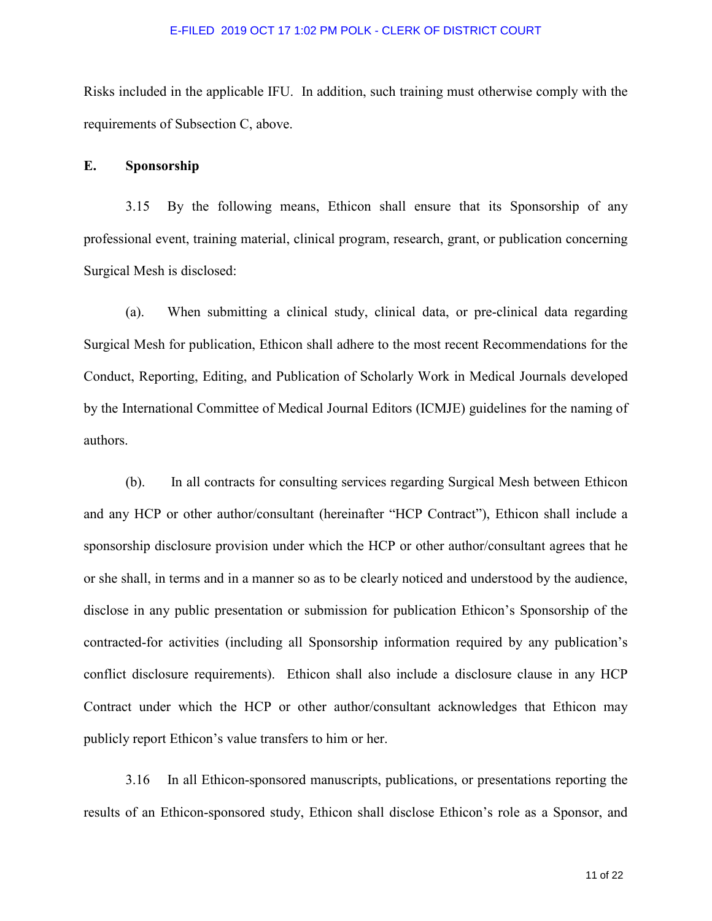Risks included in the applicable IFU. In addition, such training must otherwise comply with the requirements of Subsection C, above.

# **E. Sponsorship**

 3.15 By the following means, Ethicon shall ensure that its Sponsorship of any professional event, training material, clinical program, research, grant, or publication concerning Surgical Mesh is disclosed:

 (a). When submitting a clinical study, clinical data, or pre-clinical data regarding Surgical Mesh for publication, Ethicon shall adhere to the most recent Recommendations for the Conduct, Reporting, Editing, and Publication of Scholarly Work in Medical Journals developed by the International Committee of Medical Journal Editors (ICMJE) guidelines for the naming of authors.

 (b). In all contracts for consulting services regarding Surgical Mesh between Ethicon and any HCP or other author/consultant (hereinafter "HCP Contract"), Ethicon shall include a sponsorship disclosure provision under which the HCP or other author/consultant agrees that he or she shall, in terms and in a manner so as to be clearly noticed and understood by the audience, disclose in any public presentation or submission for publication Ethicon's Sponsorship of the contracted-for activities (including all Sponsorship information required by any publication's conflict disclosure requirements). Ethicon shall also include a disclosure clause in any HCP Contract under which the HCP or other author/consultant acknowledges that Ethicon may publicly report Ethicon's value transfers to him or her.

 3.16 In all Ethicon-sponsored manuscripts, publications, or presentations reporting the results of an Ethicon-sponsored study, Ethicon shall disclose Ethicon's role as a Sponsor, and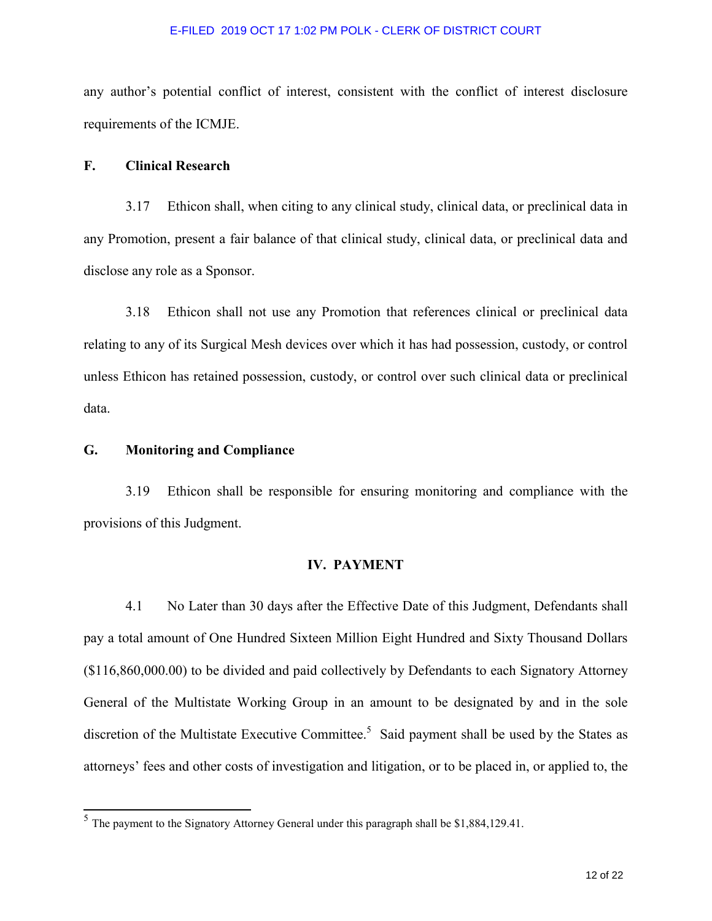any author's potential conflict of interest, consistent with the conflict of interest disclosure requirements of the ICMJE.

# **F. Clinical Research**

 3.17 Ethicon shall, when citing to any clinical study, clinical data, or preclinical data in any Promotion, present a fair balance of that clinical study, clinical data, or preclinical data and disclose any role as a Sponsor.

 3.18 Ethicon shall not use any Promotion that references clinical or preclinical data relating to any of its Surgical Mesh devices over which it has had possession, custody, or control unless Ethicon has retained possession, custody, or control over such clinical data or preclinical data.

# **G. Monitoring and Compliance**

l

3.19 Ethicon shall be responsible for ensuring monitoring and compliance with the provisions of this Judgment.

## **IV. PAYMENT**

4.1 No Later than 30 days after the Effective Date of this Judgment, Defendants shall pay a total amount of One Hundred Sixteen Million Eight Hundred and Sixty Thousand Dollars (\$116,860,000.00) to be divided and paid collectively by Defendants to each Signatory Attorney General of the Multistate Working Group in an amount to be designated by and in the sole discretion of the Multistate Executive Committee.<sup>5</sup> Said payment shall be used by the States as attorneys' fees and other costs of investigation and litigation, or to be placed in, or applied to, the

 $<sup>5</sup>$  The payment to the Signatory Attorney General under this paragraph shall be \$1,884,129.41.</sup>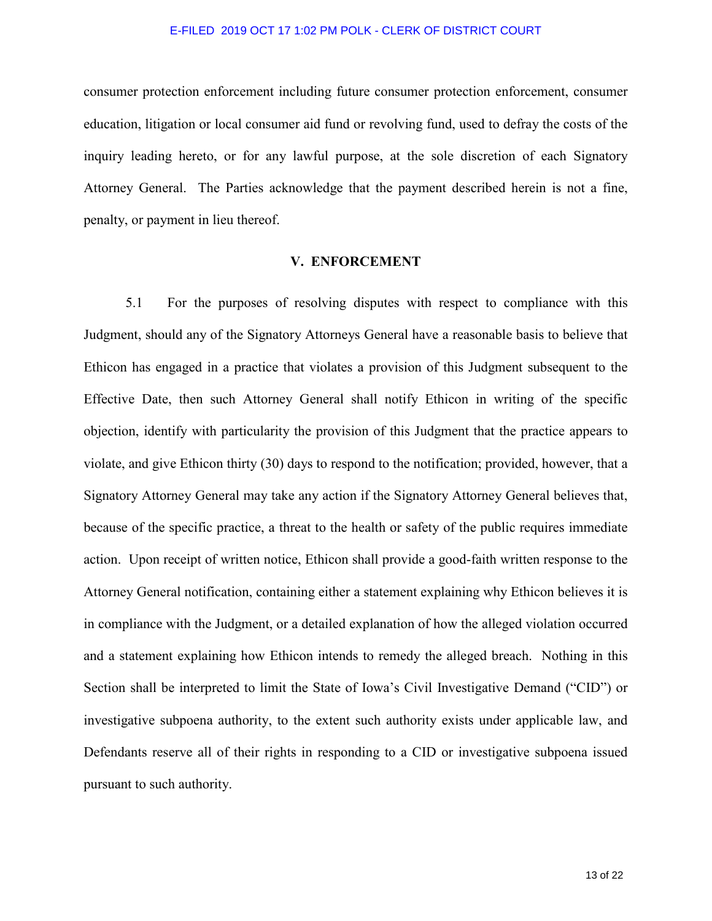consumer protection enforcement including future consumer protection enforcement, consumer education, litigation or local consumer aid fund or revolving fund, used to defray the costs of the inquiry leading hereto, or for any lawful purpose, at the sole discretion of each Signatory Attorney General. The Parties acknowledge that the payment described herein is not a fine, penalty, or payment in lieu thereof.

### **V. ENFORCEMENT**

5.1 For the purposes of resolving disputes with respect to compliance with this Judgment, should any of the Signatory Attorneys General have a reasonable basis to believe that Ethicon has engaged in a practice that violates a provision of this Judgment subsequent to the Effective Date, then such Attorney General shall notify Ethicon in writing of the specific objection, identify with particularity the provision of this Judgment that the practice appears to violate, and give Ethicon thirty (30) days to respond to the notification; provided, however, that a Signatory Attorney General may take any action if the Signatory Attorney General believes that, because of the specific practice, a threat to the health or safety of the public requires immediate action. Upon receipt of written notice, Ethicon shall provide a good-faith written response to the Attorney General notification, containing either a statement explaining why Ethicon believes it is in compliance with the Judgment, or a detailed explanation of how the alleged violation occurred and a statement explaining how Ethicon intends to remedy the alleged breach. Nothing in this Section shall be interpreted to limit the State of Iowa's Civil Investigative Demand ("CID") or investigative subpoena authority, to the extent such authority exists under applicable law, and Defendants reserve all of their rights in responding to a CID or investigative subpoena issued pursuant to such authority.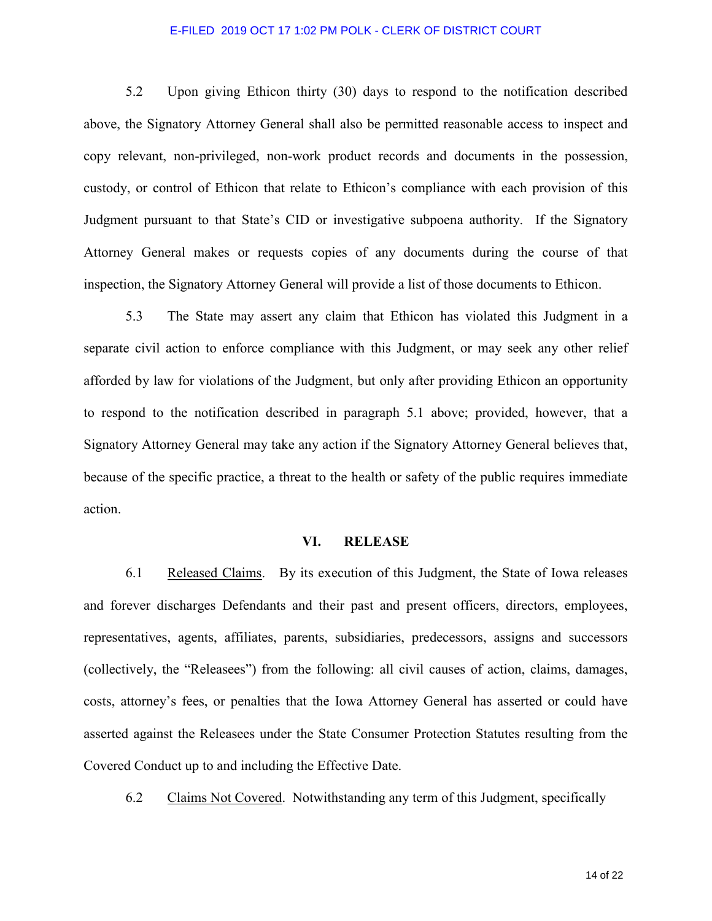5.2 Upon giving Ethicon thirty (30) days to respond to the notification described above, the Signatory Attorney General shall also be permitted reasonable access to inspect and copy relevant, non-privileged, non-work product records and documents in the possession, custody, or control of Ethicon that relate to Ethicon's compliance with each provision of this Judgment pursuant to that State's CID or investigative subpoena authority. If the Signatory Attorney General makes or requests copies of any documents during the course of that inspection, the Signatory Attorney General will provide a list of those documents to Ethicon.

5.3 The State may assert any claim that Ethicon has violated this Judgment in a separate civil action to enforce compliance with this Judgment, or may seek any other relief afforded by law for violations of the Judgment, but only after providing Ethicon an opportunity to respond to the notification described in paragraph 5.1 above; provided, however, that a Signatory Attorney General may take any action if the Signatory Attorney General believes that, because of the specific practice, a threat to the health or safety of the public requires immediate action.

### **VI. RELEASE**

6.1 Released Claims. By its execution of this Judgment, the State of Iowa releases and forever discharges Defendants and their past and present officers, directors, employees, representatives, agents, affiliates, parents, subsidiaries, predecessors, assigns and successors (collectively, the "Releasees") from the following: all civil causes of action, claims, damages, costs, attorney's fees, or penalties that the Iowa Attorney General has asserted or could have asserted against the Releasees under the State Consumer Protection Statutes resulting from the Covered Conduct up to and including the Effective Date.

6.2 Claims Not Covered. Notwithstanding any term of this Judgment, specifically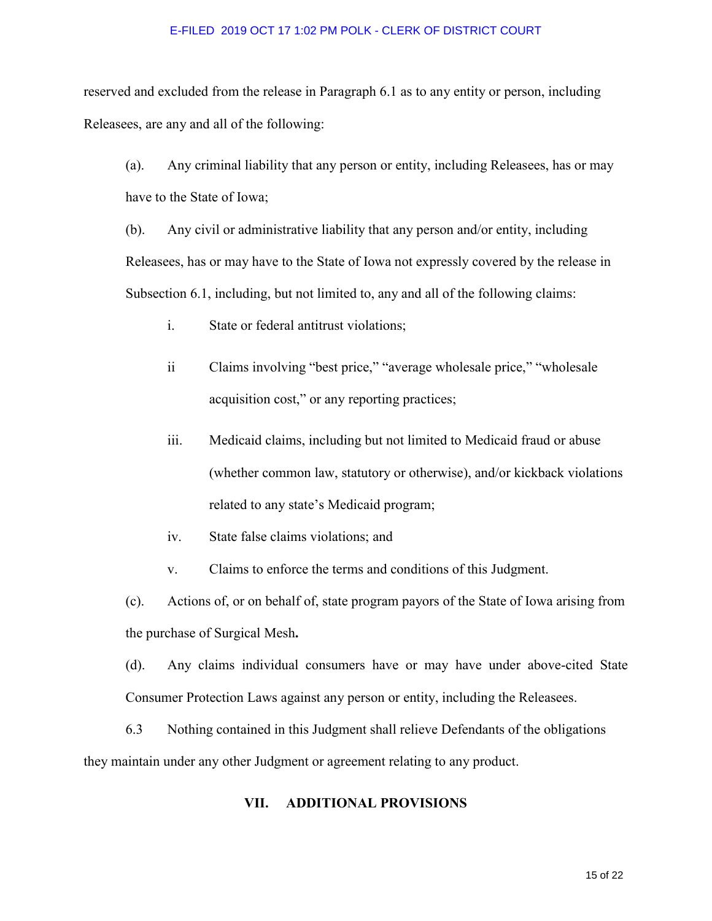reserved and excluded from the release in Paragraph 6.1 as to any entity or person, including Releasees, are any and all of the following:

(a). Any criminal liability that any person or entity, including Releasees, has or may have to the State of Iowa;

(b). Any civil or administrative liability that any person and/or entity, including Releasees, has or may have to the State of Iowa not expressly covered by the release in Subsection 6.1, including, but not limited to, any and all of the following claims:

- i. State or federal antitrust violations;
- ii Claims involving "best price," "average wholesale price," "wholesale acquisition cost," or any reporting practices;
- iii. Medicaid claims, including but not limited to Medicaid fraud or abuse (whether common law, statutory or otherwise), and/or kickback violations related to any state's Medicaid program;
- iv. State false claims violations; and
- v. Claims to enforce the terms and conditions of this Judgment.

(c). Actions of, or on behalf of, state program payors of the State of Iowa arising from the purchase of Surgical Mesh**.**

(d). Any claims individual consumers have or may have under above-cited State Consumer Protection Laws against any person or entity, including the Releasees.

6.3 Nothing contained in this Judgment shall relieve Defendants of the obligations they maintain under any other Judgment or agreement relating to any product.

# **VII. ADDITIONAL PROVISIONS**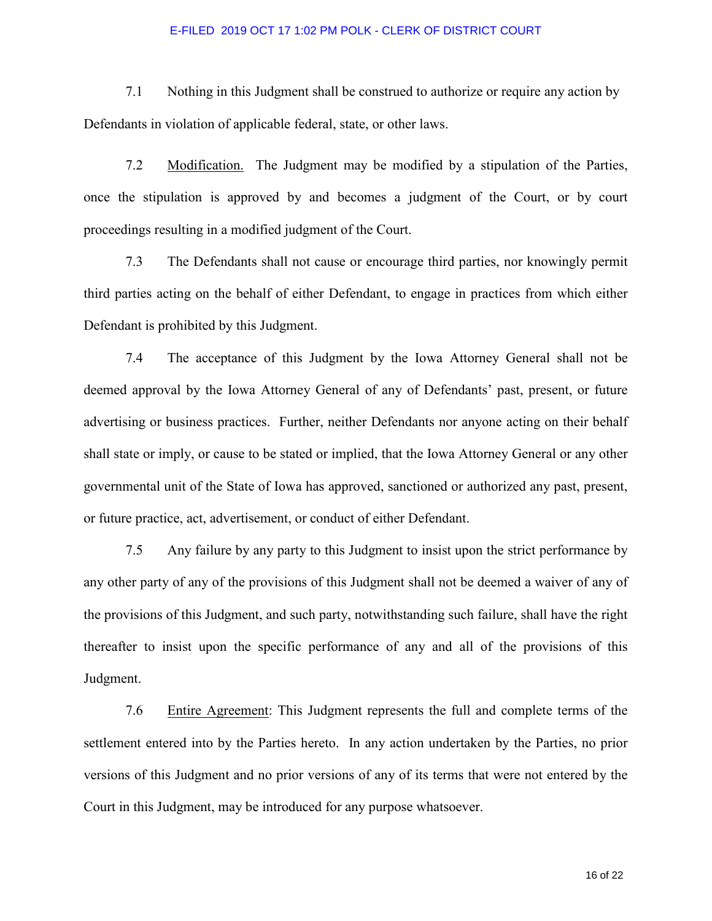7.1 Nothing in this Judgment shall be construed to authorize or require any action by Defendants in violation of applicable federal, state, or other laws.

7.2 Modification. The Judgment may be modified by a stipulation of the Parties, once the stipulation is approved by and becomes a judgment of the Court, or by court proceedings resulting in a modified judgment of the Court.

 7.3 The Defendants shall not cause or encourage third parties, nor knowingly permit third parties acting on the behalf of either Defendant, to engage in practices from which either Defendant is prohibited by this Judgment.

7.4 The acceptance of this Judgment by the Iowa Attorney General shall not be deemed approval by the Iowa Attorney General of any of Defendants' past, present, or future advertising or business practices. Further, neither Defendants nor anyone acting on their behalf shall state or imply, or cause to be stated or implied, that the Iowa Attorney General or any other governmental unit of the State of Iowa has approved, sanctioned or authorized any past, present, or future practice, act, advertisement, or conduct of either Defendant.

7.5 Any failure by any party to this Judgment to insist upon the strict performance by any other party of any of the provisions of this Judgment shall not be deemed a waiver of any of the provisions of this Judgment, and such party, notwithstanding such failure, shall have the right thereafter to insist upon the specific performance of any and all of the provisions of this Judgment.

7.6 Entire Agreement: This Judgment represents the full and complete terms of the settlement entered into by the Parties hereto. In any action undertaken by the Parties, no prior versions of this Judgment and no prior versions of any of its terms that were not entered by the Court in this Judgment, may be introduced for any purpose whatsoever.

16 of 22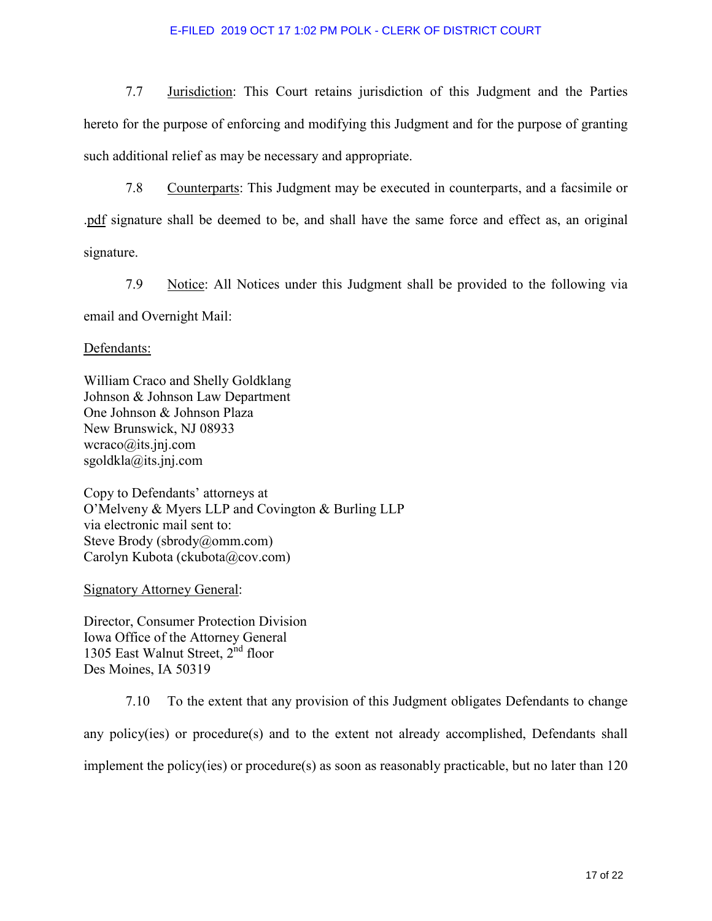7.7 Jurisdiction: This Court retains jurisdiction of this Judgment and the Parties hereto for the purpose of enforcing and modifying this Judgment and for the purpose of granting such additional relief as may be necessary and appropriate.

7.8 Counterparts: This Judgment may be executed in counterparts, and a facsimile or .pdf signature shall be deemed to be, and shall have the same force and effect as, an original signature.

7.9 Notice: All Notices under this Judgment shall be provided to the following via email and Overnight Mail:

Defendants:

William Craco and Shelly Goldklang Johnson & Johnson Law Department One Johnson & Johnson Plaza New Brunswick, NJ 08933  $wcraco@its.jnj.com$ sgoldkla@its.jnj.com

Copy to Defendants' attorneys at O'Melveny & Myers LLP and Covington & Burling LLP via electronic mail sent to: Steve Brody (sbrody@omm.com) Carolyn Kubota (ckubota@cov.com)

Signatory Attorney General:

Director, Consumer Protection Division Iowa Office of the Attorney General 1305 East Walnut Street, 2<sup>nd</sup> floor Des Moines, IA 50319

7.10 To the extent that any provision of this Judgment obligates Defendants to change any policy(ies) or procedure(s) and to the extent not already accomplished, Defendants shall implement the policy(ies) or procedure(s) as soon as reasonably practicable, but no later than 120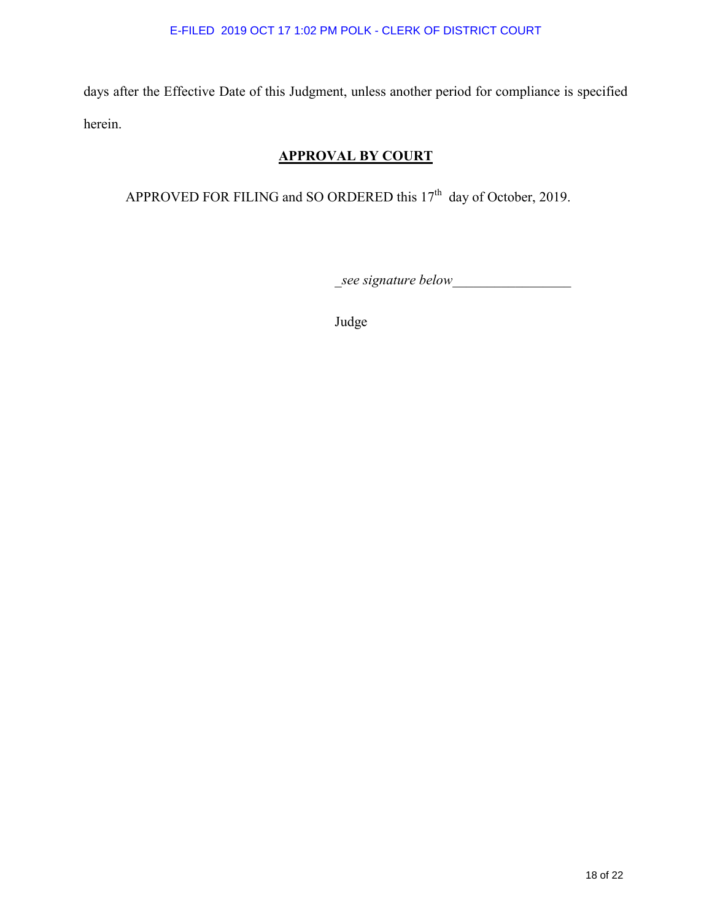days after the Effective Date of this Judgment, unless another period for compliance is specified herein.

# **APPROVAL BY COURT**

APPROVED FOR FILING and SO ORDERED this 17<sup>th</sup> day of October, 2019.

\_*see signature below*\_\_\_\_\_\_\_\_\_\_\_\_\_\_\_\_\_

Judge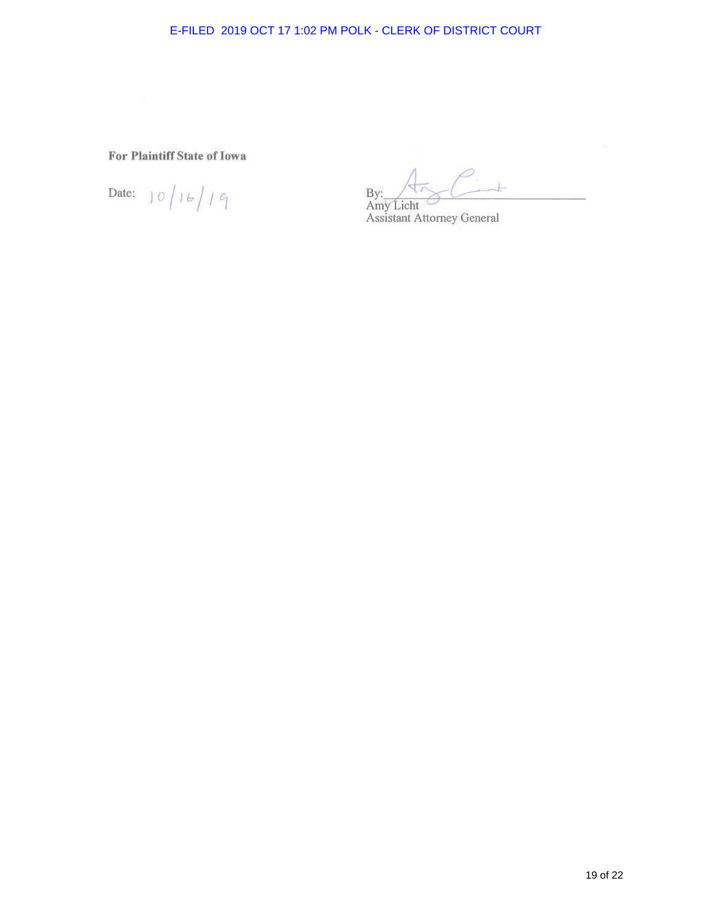**For Plaintiff State of Iowa** 

Date:  $|0|16/19$ 

By:<br>Amy Licht<br>Assistant Attorney General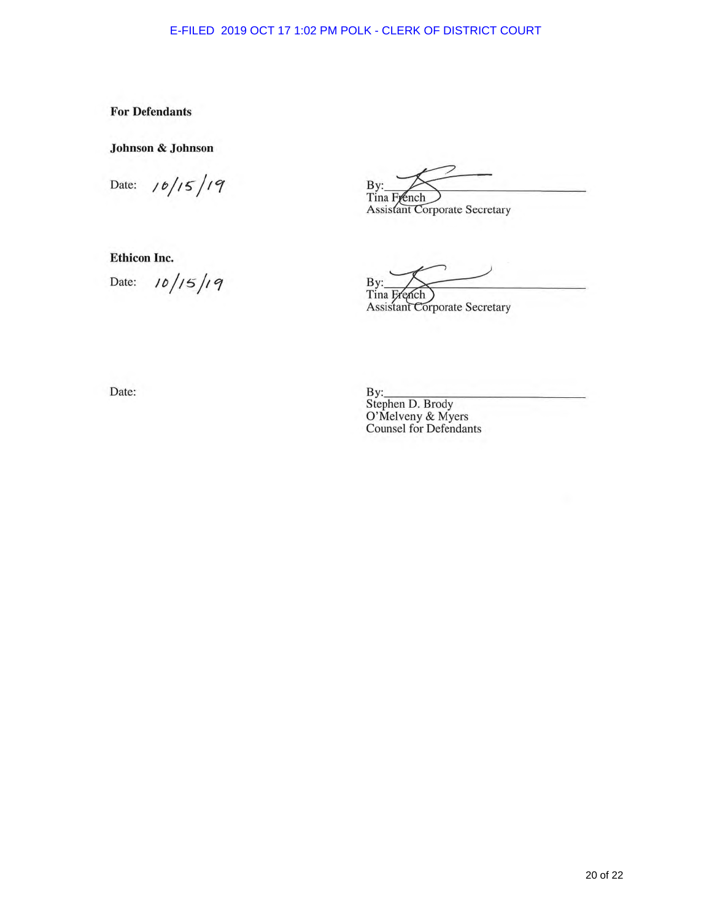**For Defendants** 

Johnson & Johnson

 $10/15/19$ Date:

**Ethicon Inc.** 

 $10/15/19$ Date:

By: Tina French

**Assistant Corporate Secretary** 

By:

Tina French<br>Assistant Corporate Secretary

Date:

By:<br>Stephen D. Brody<br>O'Melveny & Myers Counsel for Defendants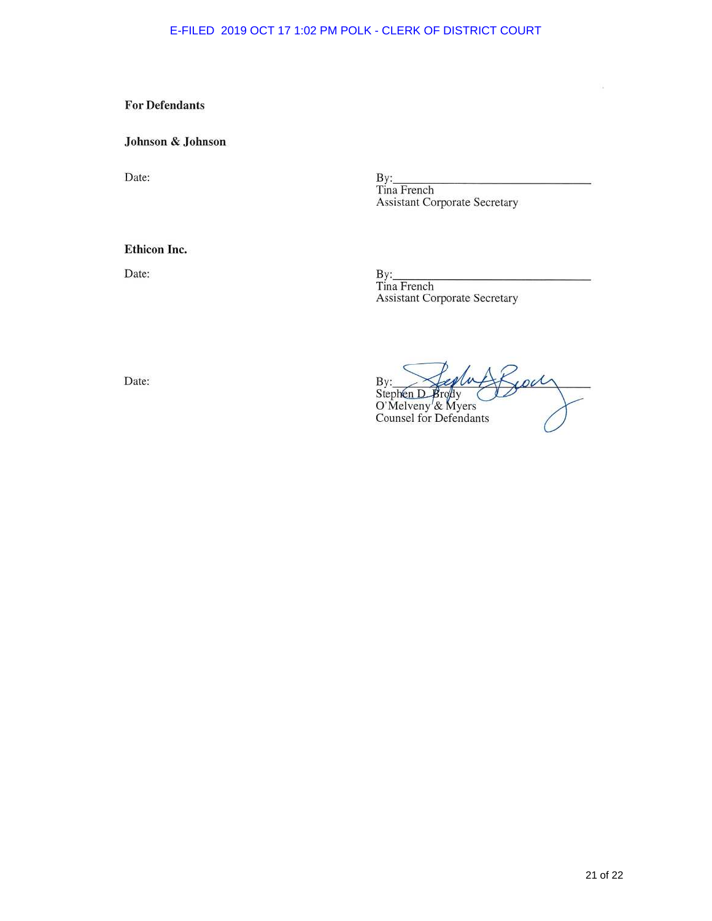# **For Defendants**

### Johnson & Johnson

Date:

By:<br>Tina French **Assistant Corporate Secretary** 

### Ethicon Inc.

Date:

By:<br>Tina French **Assistant Corporate Secretary** 

Jour By: <br>Stephen D Brody<br>O'Melveny & Myers<br>Counsel for Defendants

Date:

'n.